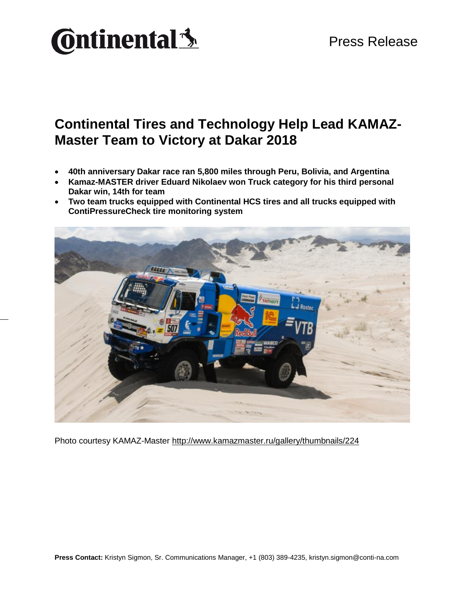

### **Continental Tires and Technology Help Lead KAMAZ-Master Team to Victory at Dakar 2018**

- **40th anniversary Dakar race ran 5,800 miles through Peru, Bolivia, and Argentina**
- **Kamaz-MASTER driver Eduard Nikolaev won Truck category for his third personal Dakar win, 14th for team**
- **Two team trucks equipped with Continental HCS tires and all trucks equipped with ContiPressureCheck tire monitoring system**



Photo courtesy KAMAZ-Master<http://www.kamazmaster.ru/gallery/thumbnails/224>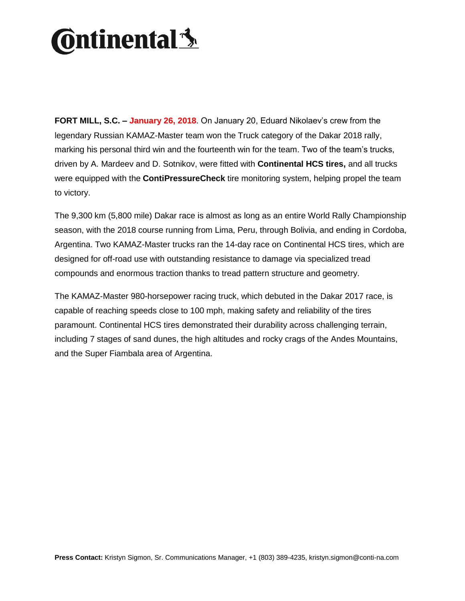# **Ontinental** \$

**FORT MILL, S.C. – January 26, 2018**. On January 20, Eduard Nikolaev's crew from the legendary Russian KAMAZ-Master team won the Truck category of the Dakar 2018 rally, marking his personal third win and the fourteenth win for the team. Two of the team's trucks, driven by A. Mardeev and D. Sotnikov, were fitted with **Continental HCS tires,** and all trucks were equipped with the **ContiPressureCheck** tire monitoring system, helping propel the team to victory.

The 9,300 km (5,800 mile) Dakar race is almost as long as an entire World Rally Championship season, with the 2018 course running from Lima, Peru, through Bolivia, and ending in Cordoba, Argentina. Two KAMAZ-Master trucks ran the 14-day race on Continental HCS tires, which are designed for off-road use with outstanding resistance to damage via specialized tread compounds and enormous traction thanks to tread pattern structure and geometry.

The KAMAZ-Master 980-horsepower racing truck, which debuted in the Dakar 2017 race, is capable of reaching speeds close to 100 mph, making safety and reliability of the tires paramount. Continental HCS tires demonstrated their durability across challenging terrain, including 7 stages of sand dunes, the high altitudes and rocky crags of the Andes Mountains, and the Super Fiambala area of Argentina.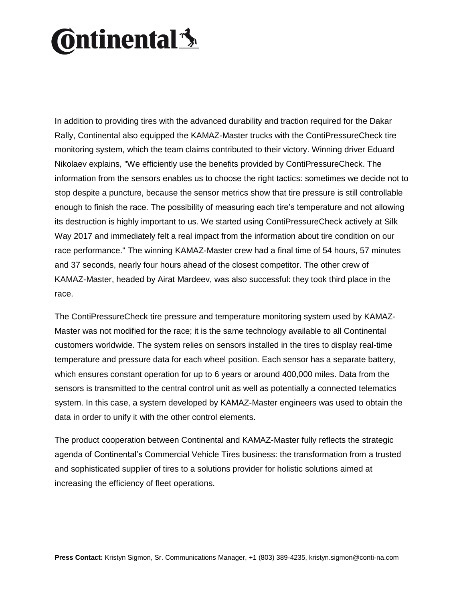# **Ontinental** \$

In addition to providing tires with the advanced durability and traction required for the Dakar Rally, Continental also equipped the KAMAZ-Master trucks with the ContiPressureCheck tire monitoring system, which the team claims contributed to their victory. Winning driver Eduard Nikolaev explains, "We efficiently use the benefits provided by ContiPressureCheck. The information from the sensors enables us to choose the right tactics: sometimes we decide not to stop despite a puncture, because the sensor metrics show that tire pressure is still controllable enough to finish the race. The possibility of measuring each tire's temperature and not allowing its destruction is highly important to us. We started using ContiPressureCheck actively at Silk Way 2017 and immediately felt a real impact from the information about tire condition on our race performance." The winning KAMAZ-Master crew had a final time of 54 hours, 57 minutes and 37 seconds, nearly four hours ahead of the closest competitor. The other crew of KAMAZ-Master, headed by Airat Mardeev, was also successful: they took third place in the race.

The ContiPressureCheck tire pressure and temperature monitoring system used by KAMAZ-Master was not modified for the race; it is the same technology available to all Continental customers worldwide. The system relies on sensors installed in the tires to display real-time temperature and pressure data for each wheel position. Each sensor has a separate battery, which ensures constant operation for up to 6 years or around 400,000 miles. Data from the sensors is transmitted to the central control unit as well as potentially a connected telematics system. In this case, a system developed by KAMAZ-Master engineers was used to obtain the data in order to unify it with the other control elements.

The product cooperation between Continental and KAMAZ-Master fully reflects the strategic agenda of Continental's Commercial Vehicle Tires business: the transformation from a trusted and sophisticated supplier of tires to a solutions provider for holistic solutions aimed at increasing the efficiency of fleet operations.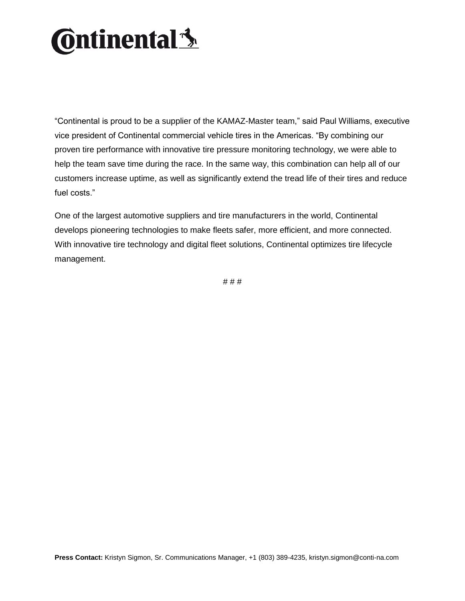# **Ontinental** \$

"Continental is proud to be a supplier of the KAMAZ-Master team," said Paul Williams, executive vice president of Continental commercial vehicle tires in the Americas. "By combining our proven tire performance with innovative tire pressure monitoring technology, we were able to help the team save time during the race. In the same way, this combination can help all of our customers increase uptime, as well as significantly extend the tread life of their tires and reduce fuel costs."

One of the largest automotive suppliers and tire manufacturers in the world, Continental develops pioneering technologies to make fleets safer, more efficient, and more connected. With innovative tire technology and digital fleet solutions, Continental optimizes tire lifecycle management.

# # #